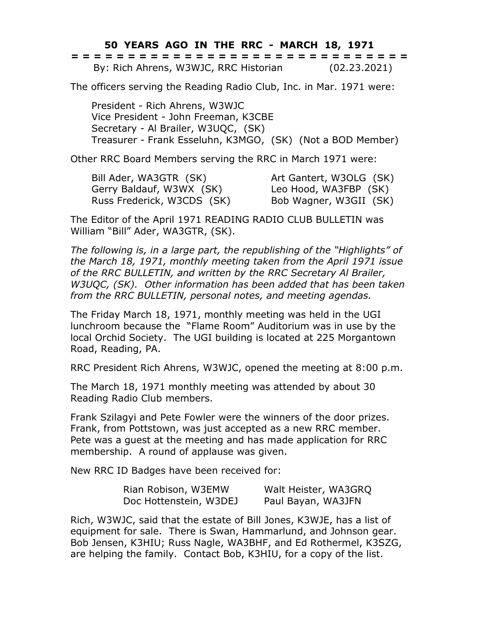**50 YEARS AGO IN THE RRC - MARCH 18, 1971**

|  |  |  |  |  |  |  |  |  | ------------------------------<br>------------------------------ |  |  |  |  |              |  |
|--|--|--|--|--|--|--|--|--|------------------------------------------------------------------|--|--|--|--|--------------|--|
|  |  |  |  |  |  |  |  |  | By: Rich Ahrens, W3WJC, RRC Historian                            |  |  |  |  | (02.23.2021) |  |

The officers serving the Reading Radio Club, Inc. in Mar. 1971 were:

President - Rich Ahrens, W3WJC Vice President - John Freeman, K3CBE Secretary - Al Brailer, W3UQC, (SK) Treasurer - Frank Esseluhn, K3MGO, (SK) (Not a BOD Member)

Other RRC Board Members serving the RRC in March 1971 were:

Bill Ader, WA3GTR (SK) Art Gantert, W3OLG (SK) Gerry Baldauf, W3WX (SK) Leo Hood, WA3FBP (SK) Russ Frederick, W3CDS (SK) Bob Wagner, W3GII (SK)

The Editor of the April 1971 READING RADIO CLUB BULLETIN was William "Bill" Ader, WA3GTR, (SK).

*The following is, in a large part, the republishing of the "Highlights" of the March 18, 1971, monthly meeting taken from the April 1971 issue of the RRC BULLETIN, and written by the RRC Secretary Al Brailer, W3UQC, (SK). Other information has been added that has been taken from the RRC BULLETIN, personal notes, and meeting agendas.*

The Friday March 18, 1971, monthly meeting was held in the UGI lunchroom because the "Flame Room" Auditorium was in use by the local Orchid Society. The UGI building is located at 225 Morgantown Road, Reading, PA.

RRC President Rich Ahrens, W3WJC, opened the meeting at 8:00 p.m.

The March 18, 1971 monthly meeting was attended by about 30 Reading Radio Club members.

Frank Szilagyi and Pete Fowler were the winners of the door prizes. Frank, from Pottstown, was just accepted as a new RRC member. Pete was a guest at the meeting and has made application for RRC membership. A round of applause was given.

New RRC ID Badges have been received for:

| Rian Robison, W3EMW    | Walt Heister, WA3GRQ |
|------------------------|----------------------|
| Doc Hottenstein, W3DEJ | Paul Bayan, WA3JFN   |

Rich, W3WJC, said that the estate of Bill Jones, K3WJE, has a list of equipment for sale. There is Swan, Hammarlund, and Johnson gear. Bob Jensen, K3HIU; Russ Nagle, WA3BHF, and Ed Rothermel, K3SZG, are helping the family. Contact Bob, K3HIU, for a copy of the list.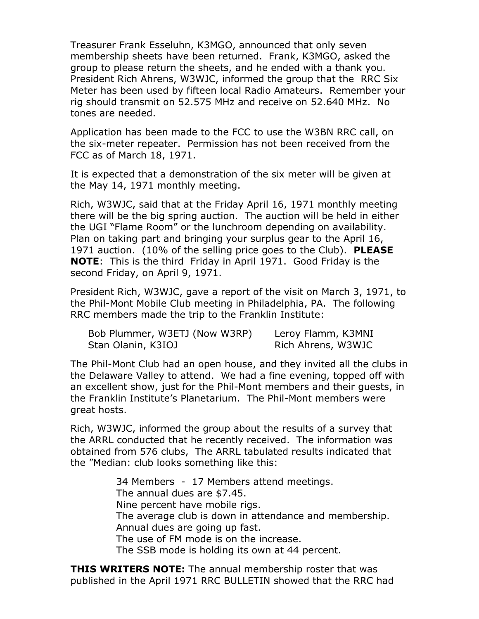Treasurer Frank Esseluhn, K3MGO, announced that only seven membership sheets have been returned. Frank, K3MGO, asked the group to please return the sheets, and he ended with a thank you. President Rich Ahrens, W3WJC, informed the group that the RRC Six Meter has been used by fifteen local Radio Amateurs. Remember your rig should transmit on 52.575 MHz and receive on 52.640 MHz. No tones are needed.

Application has been made to the FCC to use the W3BN RRC call, on the six-meter repeater. Permission has not been received from the FCC as of March 18, 1971.

It is expected that a demonstration of the six meter will be given at the May 14, 1971 monthly meeting.

Rich, W3WJC, said that at the Friday April 16, 1971 monthly meeting there will be the big spring auction. The auction will be held in either the UGI "Flame Room" or the lunchroom depending on availability. Plan on taking part and bringing your surplus gear to the April 16, 1971 auction. (10% of the selling price goes to the Club). **PLEASE NOTE**: This is the third Friday in April 1971. Good Friday is the second Friday, on April 9, 1971.

President Rich, W3WJC, gave a report of the visit on March 3, 1971, to the Phil-Mont Mobile Club meeting in Philadelphia, PA. The following RRC members made the trip to the Franklin Institute:

| Bob Plummer, W3ETJ (Now W3RP) | Leroy Flamm, K3MNI |
|-------------------------------|--------------------|
| Stan Olanin, K3IOJ            | Rich Ahrens, W3WJC |

The Phil-Mont Club had an open house, and they invited all the clubs in the Delaware Valley to attend. We had a fine evening, topped off with an excellent show, just for the Phil-Mont members and their guests, in the Franklin Institute's Planetarium. The Phil-Mont members were great hosts.

Rich, W3WJC, informed the group about the results of a survey that the ARRL conducted that he recently received. The information was obtained from 576 clubs, The ARRL tabulated results indicated that the "Median: club looks something like this:

> 34 Members - 17 Members attend meetings. The annual dues are \$7.45. Nine percent have mobile rigs. The average club is down in attendance and membership. Annual dues are going up fast. The use of FM mode is on the increase. The SSB mode is holding its own at 44 percent.

**THIS WRITERS NOTE:** The annual membership roster that was published in the April 1971 RRC BULLETIN showed that the RRC had